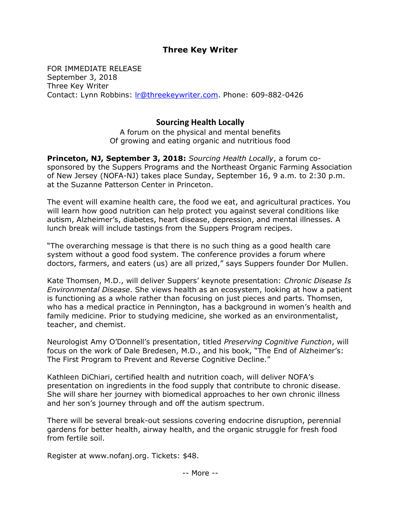## Three Key Writer

FOR IMMEDIATE RELEASE September 3, 2018 Three Key Writer Contact: Lynn Robbins: *Ir@threekeywriter.com*. Phone: 609-882-0426

## Sourcing Health Locally

A forum on the physical and mental benefits Of growing and eating organic and nutritious food

Princeton, NJ, September 3, 2018: Sourcing Health Locally, a forum cosponsored by the Suppers Programs and the Northeast Organic Farming Association of New Jersey (NOFA-NJ) takes place Sunday, September 16, 9 a.m. to 2:30 p.m. at the Suzanne Patterson Center in Princeton.

The event will examine health care, the food we eat, and agricultural practices. You will learn how good nutrition can help protect you against several conditions like autism, Alzheimer's, diabetes, heart disease, depression, and mental illnesses. A lunch break will include tastings from the Suppers Program recipes.

"The overarching message is that there is no such thing as a good health care system without a good food system. The conference provides a forum where doctors, farmers, and eaters (us) are all prized," says Suppers founder Dor Mullen.

Kate Thomsen, M.D., will deliver Suppers' keynote presentation: Chronic Disease Is Environmental Disease. She views health as an ecosystem, looking at how a patient is functioning as a whole rather than focusing on just pieces and parts. Thomsen, who has a medical practice in Pennington, has a background in women's health and family medicine. Prior to studying medicine, she worked as an environmentalist, teacher, and chemist.

Neurologist Amy O'Donnell's presentation, titled Preserving Cognitive Function, will focus on the work of Dale Bredesen, M.D., and his book, "The End of Alzheimer's: The First Program to Prevent and Reverse Cognitive Decline."

Kathleen DiChiari, certified health and nutrition coach, will deliver NOFA's presentation on ingredients in the food supply that contribute to chronic disease. She will share her journey with biomedical approaches to her own chronic illness and her son's journey through and off the autism spectrum.

There will be several break-out sessions covering endocrine disruption, perennial gardens for better health, airway health, and the organic struggle for fresh food from fertile soil.

Register at www.nofanj.org. Tickets: \$48.